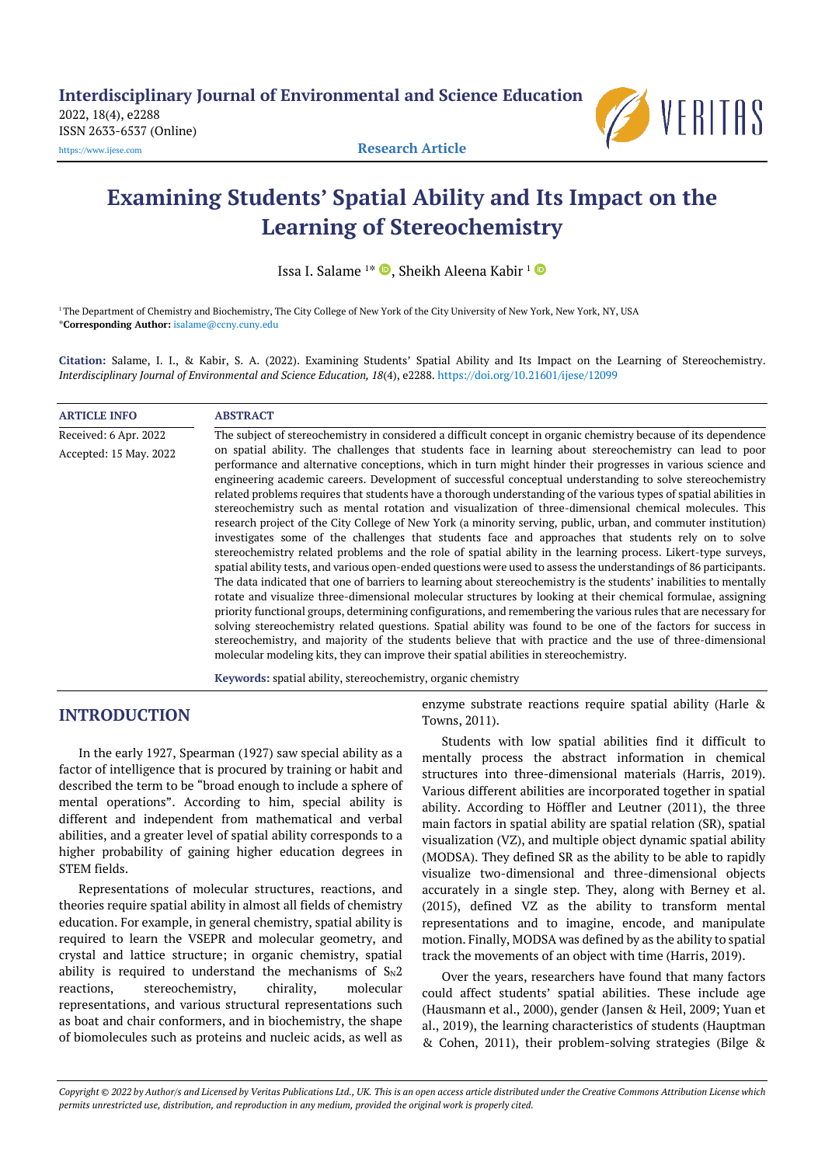```
2022, 18(4), e2288
ISSN 2633-6537 (Online)
```


[https://www.ijese.com](https://www.ijese.com/) **Research Article**

# **Examining Students' Spatial Ability and Its Impact on the Learning of Stereochemistry**

Issa I. Salame <sup>1\*</sup>  $\bullet$ , Sheikh Aleena Kabir <sup>1</sup>

<sup>1</sup>The Department of Chemistry and Biochemistry, The City College of New York of the City University of New York, New York, NY, USA \***Corresponding Author:** [isalame@ccny.cuny.edu](mailto:isalame@ccny.cuny.edu)

**Citation:** Salame, I. I., & Kabir, S. A. (2022). Examining Students' Spatial Ability and Its Impact on the Learning of Stereochemistry. *Interdisciplinary Journal of Environmental and Science Education, 18*(4), e2288. <https://doi.org/10.21601/ijese/12099>

| <b>ARTICLE INFO</b>    | <b>ABSTRACT</b>                                                                                                                                                                                                                                                                                                                                                                                                                                                                                                                                                                                                                                                                                                                                                                                                                                                                                                                                                                                                                                                                                                                                                                                                                                                                                                                                                                                                                                                                                                                                                                                                                                                                                                                                                                                |
|------------------------|------------------------------------------------------------------------------------------------------------------------------------------------------------------------------------------------------------------------------------------------------------------------------------------------------------------------------------------------------------------------------------------------------------------------------------------------------------------------------------------------------------------------------------------------------------------------------------------------------------------------------------------------------------------------------------------------------------------------------------------------------------------------------------------------------------------------------------------------------------------------------------------------------------------------------------------------------------------------------------------------------------------------------------------------------------------------------------------------------------------------------------------------------------------------------------------------------------------------------------------------------------------------------------------------------------------------------------------------------------------------------------------------------------------------------------------------------------------------------------------------------------------------------------------------------------------------------------------------------------------------------------------------------------------------------------------------------------------------------------------------------------------------------------------------|
| Received: 6 Apr. 2022  | The subject of stereochemistry in considered a difficult concept in organic chemistry because of its dependence                                                                                                                                                                                                                                                                                                                                                                                                                                                                                                                                                                                                                                                                                                                                                                                                                                                                                                                                                                                                                                                                                                                                                                                                                                                                                                                                                                                                                                                                                                                                                                                                                                                                                |
| Accepted: 15 May. 2022 | on spatial ability. The challenges that students face in learning about stereochemistry can lead to poor<br>performance and alternative conceptions, which in turn might hinder their progresses in various science and<br>engineering academic careers. Development of successful conceptual understanding to solve stereochemistry<br>related problems requires that students have a thorough understanding of the various types of spatial abilities in<br>stereochemistry such as mental rotation and visualization of three-dimensional chemical molecules. This<br>research project of the City College of New York (a minority serving, public, urban, and commuter institution)<br>investigates some of the challenges that students face and approaches that students rely on to solve<br>stereochemistry related problems and the role of spatial ability in the learning process. Likert-type surveys,<br>spatial ability tests, and various open-ended questions were used to assess the understandings of 86 participants.<br>The data indicated that one of barriers to learning about stereochemistry is the students' inabilities to mentally<br>rotate and visualize three-dimensional molecular structures by looking at their chemical formulae, assigning<br>priority functional groups, determining configurations, and remembering the various rules that are necessary for<br>solving stereochemistry related questions. Spatial ability was found to be one of the factors for success in<br>stereochemistry, and majority of the students believe that with practice and the use of three-dimensional<br>molecular modeling kits, they can improve their spatial abilities in stereochemistry.<br>$\mathbf{r}$ , and the state of the state of the state $\mathbf{r}$ |

**Keywords:** spatial ability, stereochemistry, organic chemistry

# **INTRODUCTION**

In the early 1927, Spearman (1927) saw special ability as a factor of intelligence that is procured by training or habit and described the term to be "broad enough to include a sphere of mental operations". According to him, special ability is different and independent from mathematical and verbal abilities, and a greater level of spatial ability corresponds to a higher probability of gaining higher education degrees in STEM fields.

Representations of molecular structures, reactions, and theories require spatial ability in almost all fields of chemistry education. For example, in general chemistry, spatial ability is required to learn the VSEPR and molecular geometry, and crystal and lattice structure; in organic chemistry, spatial ability is required to understand the mechanisms of  $S_N2$ reactions, stereochemistry, chirality, molecular representations, and various structural representations such as boat and chair conformers, and in biochemistry, the shape of biomolecules such as proteins and nucleic acids, as well as enzyme substrate reactions require spatial ability (Harle & Towns, 2011).

Students with low spatial abilities find it difficult to mentally process the abstract information in chemical structures into three-dimensional materials (Harris, 2019). Various different abilities are incorporated together in spatial ability. According to Höffler and Leutner (2011), the three main factors in spatial ability are spatial relation (SR), spatial visualization (VZ), and multiple object dynamic spatial ability (MODSA). They defined SR as the ability to be able to rapidly visualize two-dimensional and three-dimensional objects accurately in a single step. They, along with Berney et al. (2015), defined VZ as the ability to transform mental representations and to imagine, encode, and manipulate motion. Finally, MODSA was defined by as the ability to spatial track the movements of an object with time (Harris, 2019).

Over the years, researchers have found that many factors could affect students' spatial abilities. These include age (Hausmann et al., 2000), gender (Jansen & Heil, 2009; Yuan et al., 2019), the learning characteristics of students (Hauptman & Cohen, 2011), their problem-solving strategies (Bilge &

Copyright @ 2022 by Author/s and Licensed by Veritas Publications Ltd., UK. This is an open access article distributed under the Creative Commons Attribution License which permits unrestricted use, distribution, and reproduction in any medium, provided the original work is properly cited.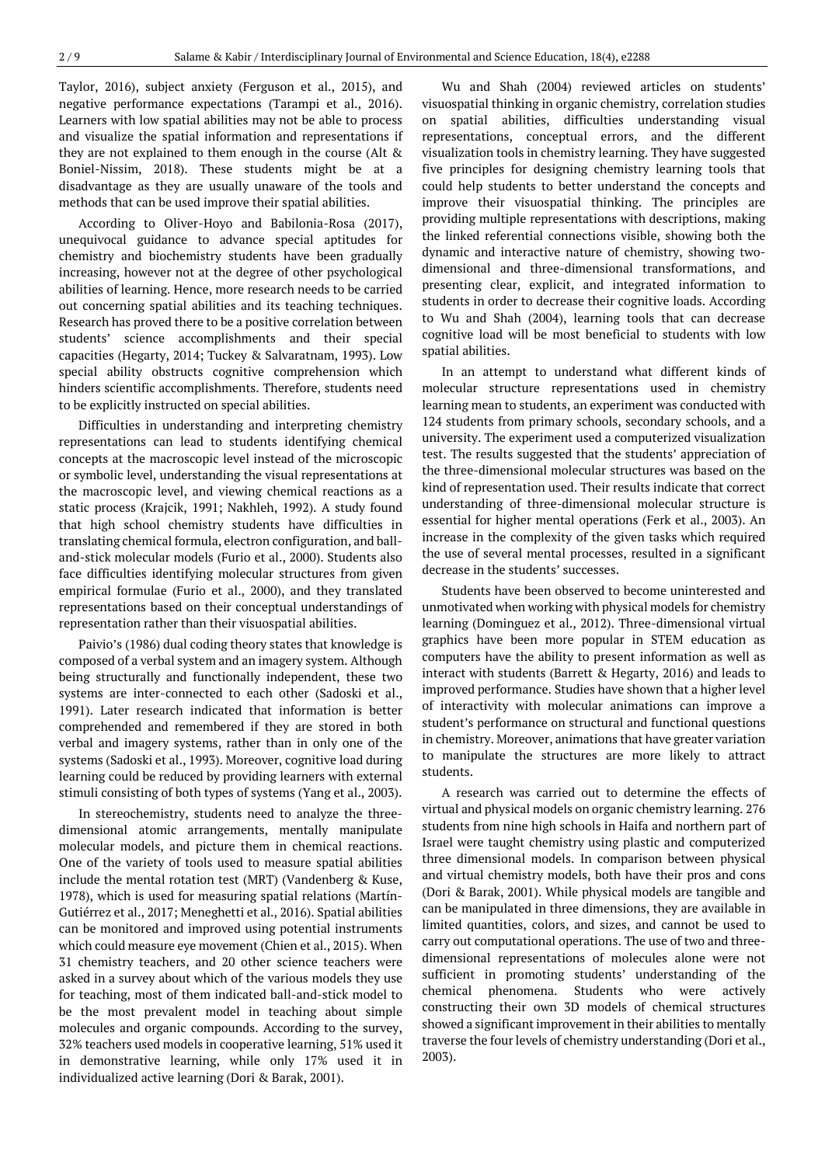Taylor, 2016), subject anxiety (Ferguson et al., 2015), and negative performance expectations (Tarampi et al., 2016). Learners with low spatial abilities may not be able to process and visualize the spatial information and representations if they are not explained to them enough in the course (Alt & Boniel-Nissim, 2018). These students might be at a disadvantage as they are usually unaware of the tools and methods that can be used improve their spatial abilities.

According to Oliver-Hoyo and Babilonia-Rosa (2017), unequivocal guidance to advance special aptitudes for chemistry and biochemistry students have been gradually increasing, however not at the degree of other psychological abilities of learning. Hence, more research needs to be carried out concerning spatial abilities and its teaching techniques. Research has proved there to be a positive correlation between students' science accomplishments and their special capacities (Hegarty, 2014; Tuckey & Salvaratnam, 1993). Low special ability obstructs cognitive comprehension which hinders scientific accomplishments. Therefore, students need to be explicitly instructed on special abilities.

Difficulties in understanding and interpreting chemistry representations can lead to students identifying chemical concepts at the macroscopic level instead of the microscopic or symbolic level, understanding the visual representations at the macroscopic level, and viewing chemical reactions as a static process (Krajcik, 1991; Nakhleh, 1992). A study found that high school chemistry students have difficulties in translating chemical formula, electron configuration, and balland-stick molecular models (Furio et al., 2000). Students also face difficulties identifying molecular structures from given empirical formulae (Furio et al., 2000), and they translated representations based on their conceptual understandings of representation rather than their visuospatial abilities.

Paivio's (1986) dual coding theory states that knowledge is composed of a verbal system and an imagery system. Although being structurally and functionally independent, these two systems are inter-connected to each other (Sadoski et al., 1991). Later research indicated that information is better comprehended and remembered if they are stored in both verbal and imagery systems, rather than in only one of the systems (Sadoski et al., 1993). Moreover, cognitive load during learning could be reduced by providing learners with external stimuli consisting of both types of systems (Yang et al., 2003).

In stereochemistry, students need to analyze the threedimensional atomic arrangements, mentally manipulate molecular models, and picture them in chemical reactions. One of the variety of tools used to measure spatial abilities include the mental rotation test (MRT) (Vandenberg & Kuse, 1978), which is used for measuring spatial relations (Martín-Gutiérrez et al., 2017; Meneghetti et al., 2016). Spatial abilities can be monitored and improved using potential instruments which could measure eye movement (Chien et al., 2015). When 31 chemistry teachers, and 20 other science teachers were asked in a survey about which of the various models they use for teaching, most of them indicated ball-and-stick model to be the most prevalent model in teaching about simple molecules and organic compounds. According to the survey, 32% teachers used models in cooperative learning, 51% used it in demonstrative learning, while only 17% used it in individualized active learning (Dori & Barak, 2001).

Wu and Shah (2004) reviewed articles on students' visuospatial thinking in organic chemistry, correlation studies on spatial abilities, difficulties understanding visual representations, conceptual errors, and the different visualization tools in chemistry learning. They have suggested five principles for designing chemistry learning tools that could help students to better understand the concepts and improve their visuospatial thinking. The principles are providing multiple representations with descriptions, making the linked referential connections visible, showing both the dynamic and interactive nature of chemistry, showing twodimensional and three-dimensional transformations, and presenting clear, explicit, and integrated information to students in order to decrease their cognitive loads. According to Wu and Shah (2004), learning tools that can decrease cognitive load will be most beneficial to students with low spatial abilities.

In an attempt to understand what different kinds of molecular structure representations used in chemistry learning mean to students, an experiment was conducted with 124 students from primary schools, secondary schools, and a university. The experiment used a computerized visualization test. The results suggested that the students' appreciation of the three-dimensional molecular structures was based on the kind of representation used. Their results indicate that correct understanding of three-dimensional molecular structure is essential for higher mental operations (Ferk et al., 2003). An increase in the complexity of the given tasks which required the use of several mental processes, resulted in a significant decrease in the students' successes.

Students have been observed to become uninterested and unmotivated when working with physical models for chemistry learning (Dominguez et al., 2012). Three-dimensional virtual graphics have been more popular in STEM education as computers have the ability to present information as well as interact with students (Barrett & Hegarty, 2016) and leads to improved performance. Studies have shown that a higher level of interactivity with molecular animations can improve a student's performance on structural and functional questions in chemistry. Moreover, animations that have greater variation to manipulate the structures are more likely to attract students.

A research was carried out to determine the effects of virtual and physical models on organic chemistry learning. 276 students from nine high schools in Haifa and northern part of Israel were taught chemistry using plastic and computerized three dimensional models. In comparison between physical and virtual chemistry models, both have their pros and cons (Dori & Barak, 2001). While physical models are tangible and can be manipulated in three dimensions, they are available in limited quantities, colors, and sizes, and cannot be used to carry out computational operations. The use of two and threedimensional representations of molecules alone were not sufficient in promoting students' understanding of the chemical phenomena. Students who were actively constructing their own 3D models of chemical structures showed a significant improvement in their abilities to mentally traverse the four levels of chemistry understanding (Dori et al., 2003).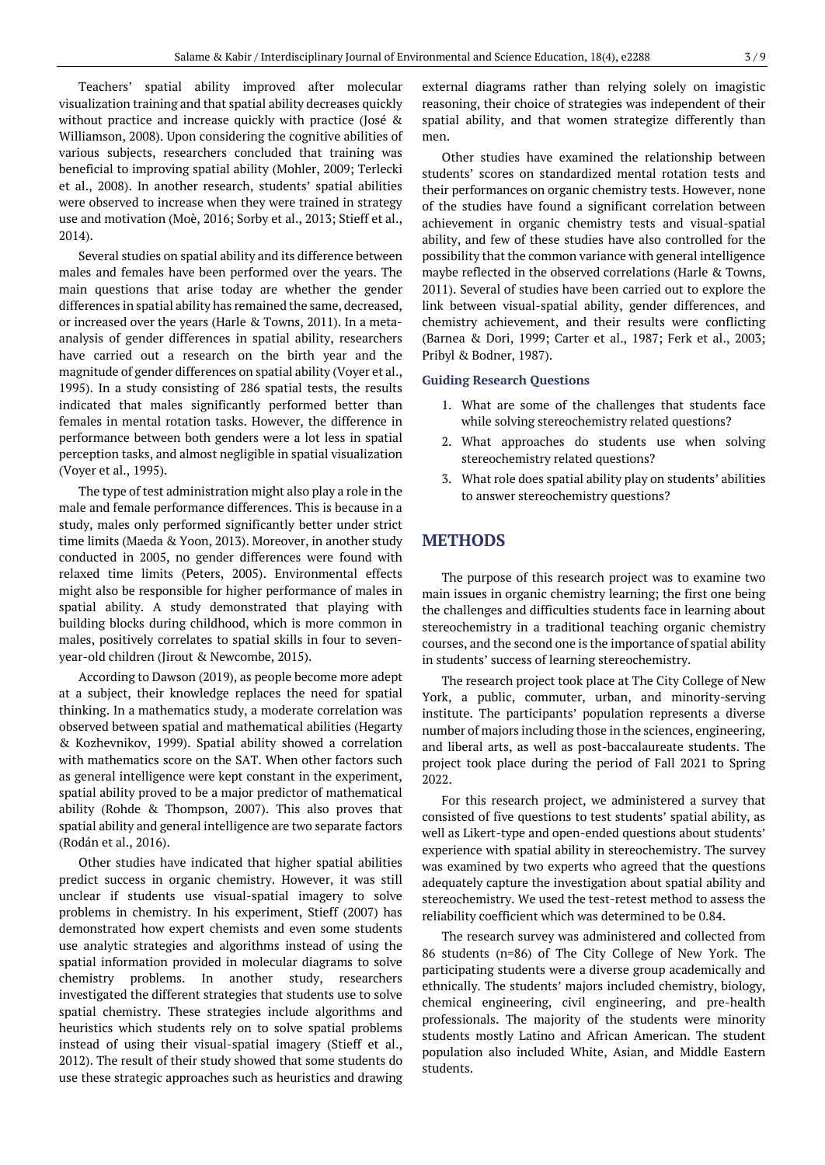Teachers' spatial ability improved after molecular visualization training and that spatial ability decreases quickly without practice and increase quickly with practice (José & Williamson, 2008). Upon considering the cognitive abilities of various subjects, researchers concluded that training was beneficial to improving spatial ability (Mohler, 2009; Terlecki et al., 2008). In another research, students' spatial abilities were observed to increase when they were trained in strategy use and motivation (Moè, 2016; Sorby et al., 2013; Stieff et al., 2014).

Several studies on spatial ability and its difference between males and females have been performed over the years. The main questions that arise today are whether the gender differences in spatial ability has remained the same, decreased, or increased over the years (Harle & Towns, 2011). In a metaanalysis of gender differences in spatial ability, researchers have carried out a research on the birth year and the magnitude of gender differences on spatial ability (Voyer et al., 1995). In a study consisting of 286 spatial tests, the results indicated that males significantly performed better than females in mental rotation tasks. However, the difference in performance between both genders were a lot less in spatial perception tasks, and almost negligible in spatial visualization (Voyer et al., 1995).

The type of test administration might also play a role in the male and female performance differences. This is because in a study, males only performed significantly better under strict time limits (Maeda & Yoon, 2013). Moreover, in another study conducted in 2005, no gender differences were found with relaxed time limits (Peters, 2005). Environmental effects might also be responsible for higher performance of males in spatial ability. A study demonstrated that playing with building blocks during childhood, which is more common in males, positively correlates to spatial skills in four to sevenyear-old children (Jirout & Newcombe, 2015).

According to Dawson (2019), as people become more adept at a subject, their knowledge replaces the need for spatial thinking. In a mathematics study, a moderate correlation was observed between spatial and mathematical abilities (Hegarty & Kozhevnikov, 1999). Spatial ability showed a correlation with mathematics score on the SAT. When other factors such as general intelligence were kept constant in the experiment, spatial ability proved to be a major predictor of mathematical ability (Rohde & Thompson, 2007). This also proves that spatial ability and general intelligence are two separate factors (Rodán et al., 2016).

Other studies have indicated that higher spatial abilities predict success in organic chemistry. However, it was still unclear if students use visual-spatial imagery to solve problems in chemistry. In his experiment, Stieff (2007) has demonstrated how expert chemists and even some students use analytic strategies and algorithms instead of using the spatial information provided in molecular diagrams to solve chemistry problems. In another study, researchers investigated the different strategies that students use to solve spatial chemistry. These strategies include algorithms and heuristics which students rely on to solve spatial problems instead of using their visual-spatial imagery (Stieff et al., 2012). The result of their study showed that some students do use these strategic approaches such as heuristics and drawing external diagrams rather than relying solely on imagistic reasoning, their choice of strategies was independent of their spatial ability, and that women strategize differently than men.

Other studies have examined the relationship between students' scores on standardized mental rotation tests and their performances on organic chemistry tests. However, none of the studies have found a significant correlation between achievement in organic chemistry tests and visual-spatial ability, and few of these studies have also controlled for the possibility that the common variance with general intelligence maybe reflected in the observed correlations (Harle & Towns, 2011). Several of studies have been carried out to explore the link between visual-spatial ability, gender differences, and chemistry achievement, and their results were conflicting (Barnea & Dori, 1999; Carter et al., 1987; Ferk et al., 2003; Pribyl & Bodner, 1987).

#### **Guiding Research Questions**

- 1. What are some of the challenges that students face while solving stereochemistry related questions?
- 2. What approaches do students use when solving stereochemistry related questions?
- 3. What role does spatial ability play on students' abilities to answer stereochemistry questions?

# **METHODS**

The purpose of this research project was to examine two main issues in organic chemistry learning; the first one being the challenges and difficulties students face in learning about stereochemistry in a traditional teaching organic chemistry courses, and the second one is the importance of spatial ability in students' success of learning stereochemistry.

The research project took place at The City College of New York, a public, commuter, urban, and minority-serving institute. The participants' population represents a diverse number of majors including those in the sciences, engineering, and liberal arts, as well as post-baccalaureate students. The project took place during the period of Fall 2021 to Spring 2022.

For this research project, we administered a survey that consisted of five questions to test students' spatial ability, as well as Likert-type and open-ended questions about students' experience with spatial ability in stereochemistry. The survey was examined by two experts who agreed that the questions adequately capture the investigation about spatial ability and stereochemistry. We used the test-retest method to assess the reliability coefficient which was determined to be 0.84.

The research survey was administered and collected from 86 students (n=86) of The City College of New York. The participating students were a diverse group academically and ethnically. The students' majors included chemistry, biology, chemical engineering, civil engineering, and pre-health professionals. The majority of the students were minority students mostly Latino and African American. The student population also included White, Asian, and Middle Eastern students.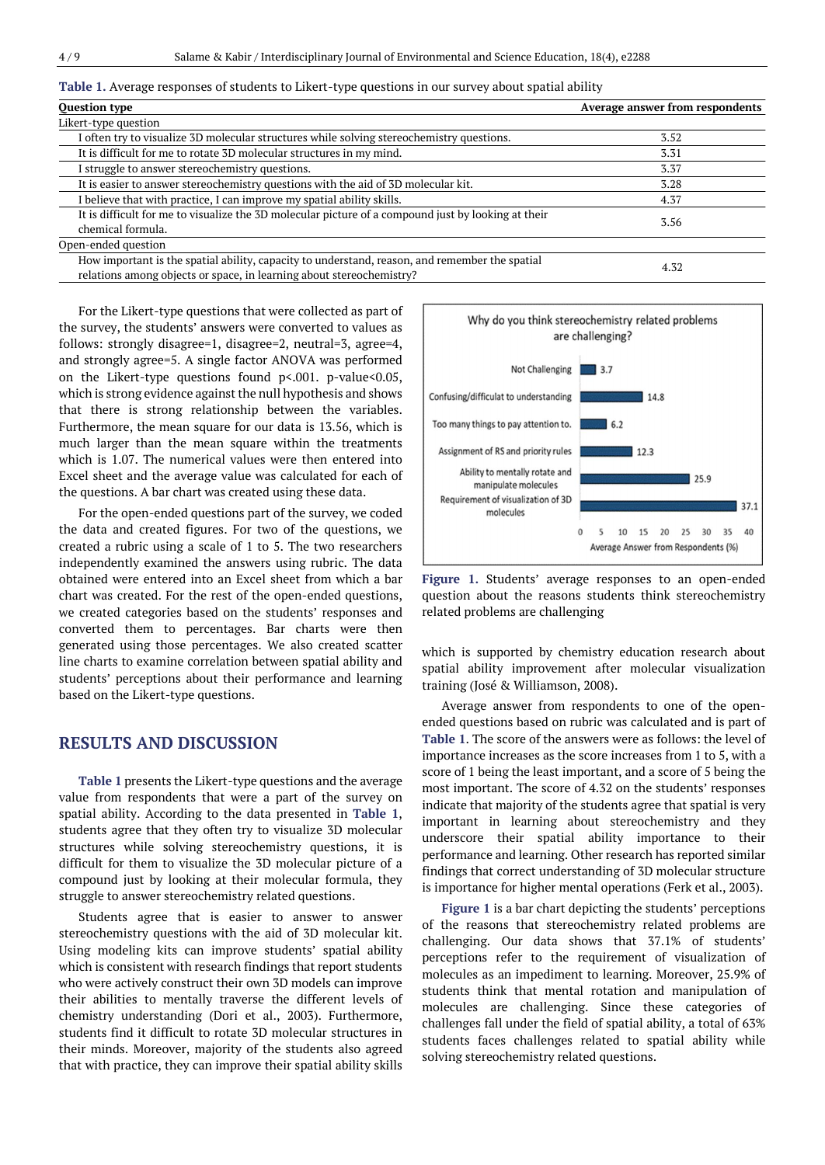|  | Table 1. Average responses of students to Likert-type questions in our survey about spatial ability |  |
|--|-----------------------------------------------------------------------------------------------------|--|
|  |                                                                                                     |  |

| <b>Question type</b>                                                                                                                                                   | Average answer from respondents |
|------------------------------------------------------------------------------------------------------------------------------------------------------------------------|---------------------------------|
| Likert-type question                                                                                                                                                   |                                 |
| I often try to visualize 3D molecular structures while solving stereochemistry questions.                                                                              | 3.52                            |
| It is difficult for me to rotate 3D molecular structures in my mind.                                                                                                   | 3.31                            |
| I struggle to answer stereochemistry questions.                                                                                                                        | 3.37                            |
| It is easier to answer stereochemistry questions with the aid of 3D molecular kit.                                                                                     | 3.28                            |
| I believe that with practice, I can improve my spatial ability skills.                                                                                                 | 4.37                            |
| It is difficult for me to visualize the 3D molecular picture of a compound just by looking at their<br>chemical formula.                                               | 3.56                            |
| Open-ended question                                                                                                                                                    |                                 |
| How important is the spatial ability, capacity to understand, reason, and remember the spatial<br>relations among objects or space, in learning about stereochemistry? | 4.32                            |

For the Likert-type questions that were collected as part of the survey, the students' answers were converted to values as follows: strongly disagree=1, disagree=2, neutral=3, agree=4, and strongly agree=5. A single factor ANOVA was performed on the Likert-type questions found  $p$ <.001. p-value<0.05, which is strong evidence against the null hypothesis and shows that there is strong relationship between the variables. Furthermore, the mean square for our data is 13.56, which is much larger than the mean square within the treatments which is 1.07. The numerical values were then entered into Excel sheet and the average value was calculated for each of the questions. A bar chart was created using these data.

For the open-ended questions part of the survey, we coded the data and created figures. For two of the questions, we created a rubric using a scale of 1 to 5. The two researchers independently examined the answers using rubric. The data obtained were entered into an Excel sheet from which a bar chart was created. For the rest of the open-ended questions, we created categories based on the students' responses and converted them to percentages. Bar charts were then generated using those percentages. We also created scatter line charts to examine correlation between spatial ability and students' perceptions about their performance and learning based on the Likert-type questions.

#### **RESULTS AND DISCUSSION**

**Table 1** presents the Likert-type questions and the average value from respondents that were a part of the survey on spatial ability. According to the data presented in **Table 1**, students agree that they often try to visualize 3D molecular structures while solving stereochemistry questions, it is difficult for them to visualize the 3D molecular picture of a compound just by looking at their molecular formula, they struggle to answer stereochemistry related questions.

Students agree that is easier to answer to answer stereochemistry questions with the aid of 3D molecular kit. Using modeling kits can improve students' spatial ability which is consistent with research findings that report students who were actively construct their own 3D models can improve their abilities to mentally traverse the different levels of chemistry understanding (Dori et al., 2003). Furthermore, students find it difficult to rotate 3D molecular structures in their minds. Moreover, majority of the students also agreed that with practice, they can improve their spatial ability skills



**Figure 1.** Students' average responses to an open-ended question about the reasons students think stereochemistry related problems are challenging

which is supported by chemistry education research about spatial ability improvement after molecular visualization training (José & Williamson, 2008).

Average answer from respondents to one of the openended questions based on rubric was calculated and is part of **Table 1**. The score of the answers were as follows: the level of importance increases as the score increases from 1 to 5, with a score of 1 being the least important, and a score of 5 being the most important. The score of 4.32 on the students' responses indicate that majority of the students agree that spatial is very important in learning about stereochemistry and they underscore their spatial ability importance to their performance and learning. Other research has reported similar findings that correct understanding of 3D molecular structure is importance for higher mental operations (Ferk et al., 2003).

**Figure 1** is a bar chart depicting the students' perceptions of the reasons that stereochemistry related problems are challenging. Our data shows that 37.1% of students' perceptions refer to the requirement of visualization of molecules as an impediment to learning. Moreover, 25.9% of students think that mental rotation and manipulation of molecules are challenging. Since these categories of challenges fall under the field of spatial ability, a total of 63% students faces challenges related to spatial ability while solving stereochemistry related questions.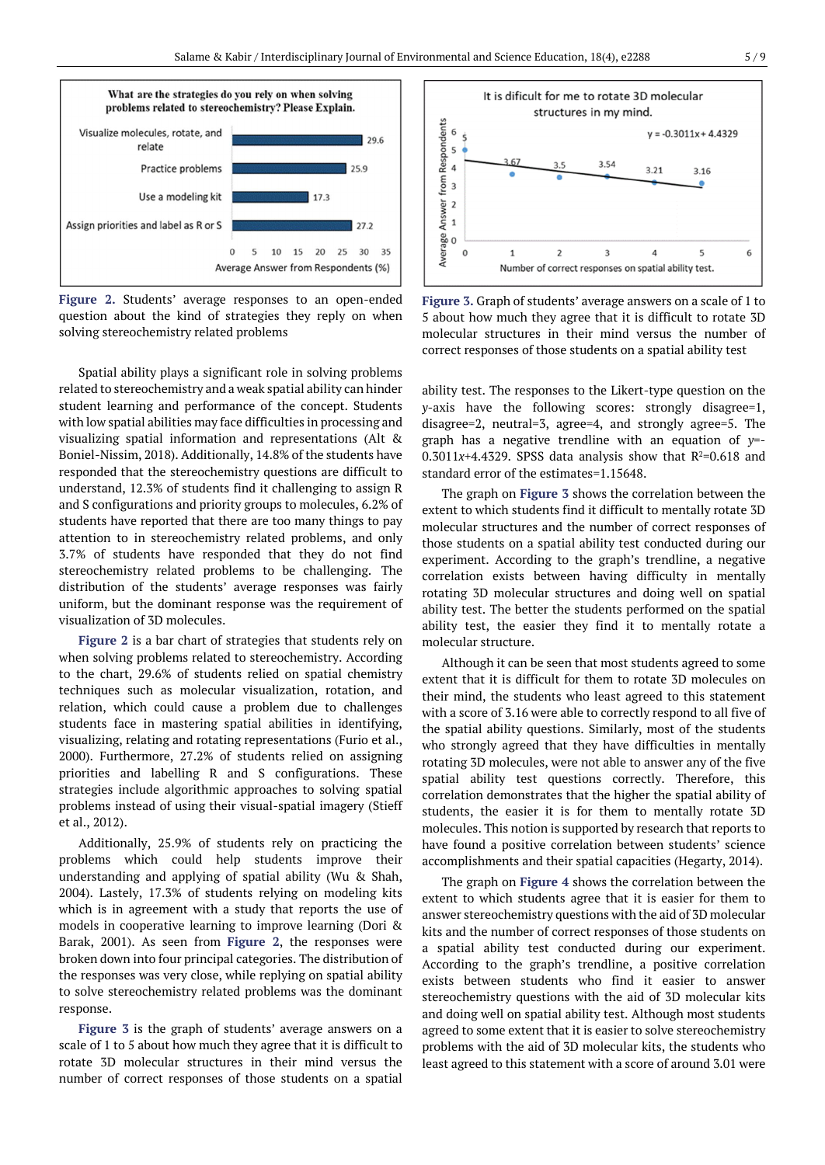

**Figure 2.** Students' average responses to an open-ended question about the kind of strategies they reply on when solving stereochemistry related problems

Spatial ability plays a significant role in solving problems related to stereochemistry and a weak spatial ability can hinder student learning and performance of the concept. Students with low spatial abilities may face difficulties in processing and visualizing spatial information and representations (Alt & Boniel-Nissim, 2018). Additionally, 14.8% of the students have responded that the stereochemistry questions are difficult to understand, 12.3% of students find it challenging to assign R and S configurations and priority groups to molecules, 6.2% of students have reported that there are too many things to pay attention to in stereochemistry related problems, and only 3.7% of students have responded that they do not find stereochemistry related problems to be challenging. The distribution of the students' average responses was fairly uniform, but the dominant response was the requirement of visualization of 3D molecules.

**Figure 2** is a bar chart of strategies that students rely on when solving problems related to stereochemistry. According to the chart, 29.6% of students relied on spatial chemistry techniques such as molecular visualization, rotation, and relation, which could cause a problem due to challenges students face in mastering spatial abilities in identifying, visualizing, relating and rotating representations (Furio et al., 2000). Furthermore, 27.2% of students relied on assigning priorities and labelling R and S configurations. These strategies include algorithmic approaches to solving spatial problems instead of using their visual-spatial imagery (Stieff et al., 2012).

Additionally, 25.9% of students rely on practicing the problems which could help students improve their understanding and applying of spatial ability (Wu & Shah, 2004). Lastely, 17.3% of students relying on modeling kits which is in agreement with a study that reports the use of models in cooperative learning to improve learning (Dori & Barak, 2001). As seen from **Figure 2**, the responses were broken down into four principal categories. The distribution of the responses was very close, while replying on spatial ability to solve stereochemistry related problems was the dominant response.

**Figure 3** is the graph of students' average answers on a scale of 1 to 5 about how much they agree that it is difficult to rotate 3D molecular structures in their mind versus the number of correct responses of those students on a spatial



**Figure 3.** Graph of students' average answers on a scale of 1 to 5 about how much they agree that it is difficult to rotate 3D molecular structures in their mind versus the number of correct responses of those students on a spatial ability test

ability test. The responses to the Likert-type question on the *y*-axis have the following scores: strongly disagree=1, disagree=2, neutral=3, agree=4, and strongly agree=5. The graph has a negative trendline with an equation of *y*=-  $0.3011x+4.4329$ . SPSS data analysis show that  $R^2=0.618$  and standard error of the estimates=1.15648.

The graph on **Figure 3** shows the correlation between the extent to which students find it difficult to mentally rotate 3D molecular structures and the number of correct responses of those students on a spatial ability test conducted during our experiment. According to the graph's trendline, a negative correlation exists between having difficulty in mentally rotating 3D molecular structures and doing well on spatial ability test. The better the students performed on the spatial ability test, the easier they find it to mentally rotate a molecular structure.

Although it can be seen that most students agreed to some extent that it is difficult for them to rotate 3D molecules on their mind, the students who least agreed to this statement with a score of 3.16 were able to correctly respond to all five of the spatial ability questions. Similarly, most of the students who strongly agreed that they have difficulties in mentally rotating 3D molecules, were not able to answer any of the five spatial ability test questions correctly. Therefore, this correlation demonstrates that the higher the spatial ability of students, the easier it is for them to mentally rotate 3D molecules. This notion is supported by research that reports to have found a positive correlation between students' science accomplishments and their spatial capacities (Hegarty, 2014).

The graph on **Figure 4** shows the correlation between the extent to which students agree that it is easier for them to answer stereochemistry questions with the aid of 3D molecular kits and the number of correct responses of those students on a spatial ability test conducted during our experiment. According to the graph's trendline, a positive correlation exists between students who find it easier to answer stereochemistry questions with the aid of 3D molecular kits and doing well on spatial ability test. Although most students agreed to some extent that it is easier to solve stereochemistry problems with the aid of 3D molecular kits, the students who least agreed to this statement with a score of around 3.01 were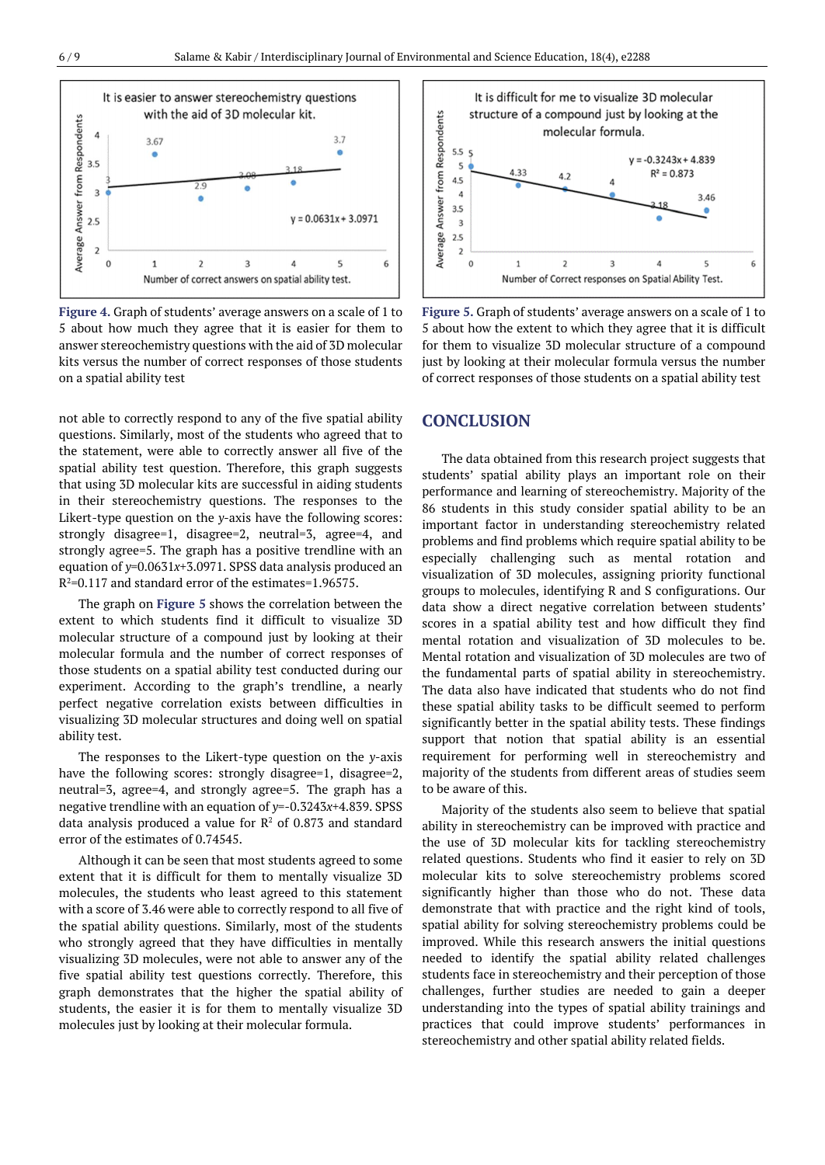

**Figure 4.** Graph of students' average answers on a scale of 1 to 5 about how much they agree that it is easier for them to answer stereochemistry questions with the aid of 3D molecular kits versus the number of correct responses of those students on a spatial ability test

not able to correctly respond to any of the five spatial ability questions. Similarly, most of the students who agreed that to the statement, were able to correctly answer all five of the spatial ability test question. Therefore, this graph suggests that using 3D molecular kits are successful in aiding students in their stereochemistry questions. The responses to the Likert-type question on the *y*-axis have the following scores: strongly disagree=1, disagree=2, neutral=3, agree=4, and strongly agree=5. The graph has a positive trendline with an equation of *y*=0.0631*x*+3.0971. SPSS data analysis produced an R <sup>2</sup>=0.117 and standard error of the estimates=1.96575.

The graph on **Figure 5** shows the correlation between the extent to which students find it difficult to visualize 3D molecular structure of a compound just by looking at their molecular formula and the number of correct responses of those students on a spatial ability test conducted during our experiment. According to the graph's trendline, a nearly perfect negative correlation exists between difficulties in visualizing 3D molecular structures and doing well on spatial ability test.

The responses to the Likert-type question on the *y*-axis have the following scores: strongly disagree=1, disagree=2, neutral=3, agree=4, and strongly agree=5. The graph has a negative trendline with an equation of *y*=-0.3243*x*+4.839. SPSS data analysis produced a value for  $\mathbb{R}^2$  of 0.873 and standard error of the estimates of 0.74545.

Although it can be seen that most students agreed to some extent that it is difficult for them to mentally visualize 3D molecules, the students who least agreed to this statement with a score of 3.46 were able to correctly respond to all five of the spatial ability questions. Similarly, most of the students who strongly agreed that they have difficulties in mentally visualizing 3D molecules, were not able to answer any of the five spatial ability test questions correctly. Therefore, this graph demonstrates that the higher the spatial ability of students, the easier it is for them to mentally visualize 3D molecules just by looking at their molecular formula.



**Figure 5.** Graph of students' average answers on a scale of 1 to 5 about how the extent to which they agree that it is difficult for them to visualize 3D molecular structure of a compound just by looking at their molecular formula versus the number of correct responses of those students on a spatial ability test

## **CONCLUSION**

The data obtained from this research project suggests that students' spatial ability plays an important role on their performance and learning of stereochemistry. Majority of the 86 students in this study consider spatial ability to be an important factor in understanding stereochemistry related problems and find problems which require spatial ability to be especially challenging such as mental rotation and visualization of 3D molecules, assigning priority functional groups to molecules, identifying R and S configurations. Our data show a direct negative correlation between students' scores in a spatial ability test and how difficult they find mental rotation and visualization of 3D molecules to be. Mental rotation and visualization of 3D molecules are two of the fundamental parts of spatial ability in stereochemistry. The data also have indicated that students who do not find these spatial ability tasks to be difficult seemed to perform significantly better in the spatial ability tests. These findings support that notion that spatial ability is an essential requirement for performing well in stereochemistry and majority of the students from different areas of studies seem to be aware of this.

Majority of the students also seem to believe that spatial ability in stereochemistry can be improved with practice and the use of 3D molecular kits for tackling stereochemistry related questions. Students who find it easier to rely on 3D molecular kits to solve stereochemistry problems scored significantly higher than those who do not. These data demonstrate that with practice and the right kind of tools, spatial ability for solving stereochemistry problems could be improved. While this research answers the initial questions needed to identify the spatial ability related challenges students face in stereochemistry and their perception of those challenges, further studies are needed to gain a deeper understanding into the types of spatial ability trainings and practices that could improve students' performances in stereochemistry and other spatial ability related fields.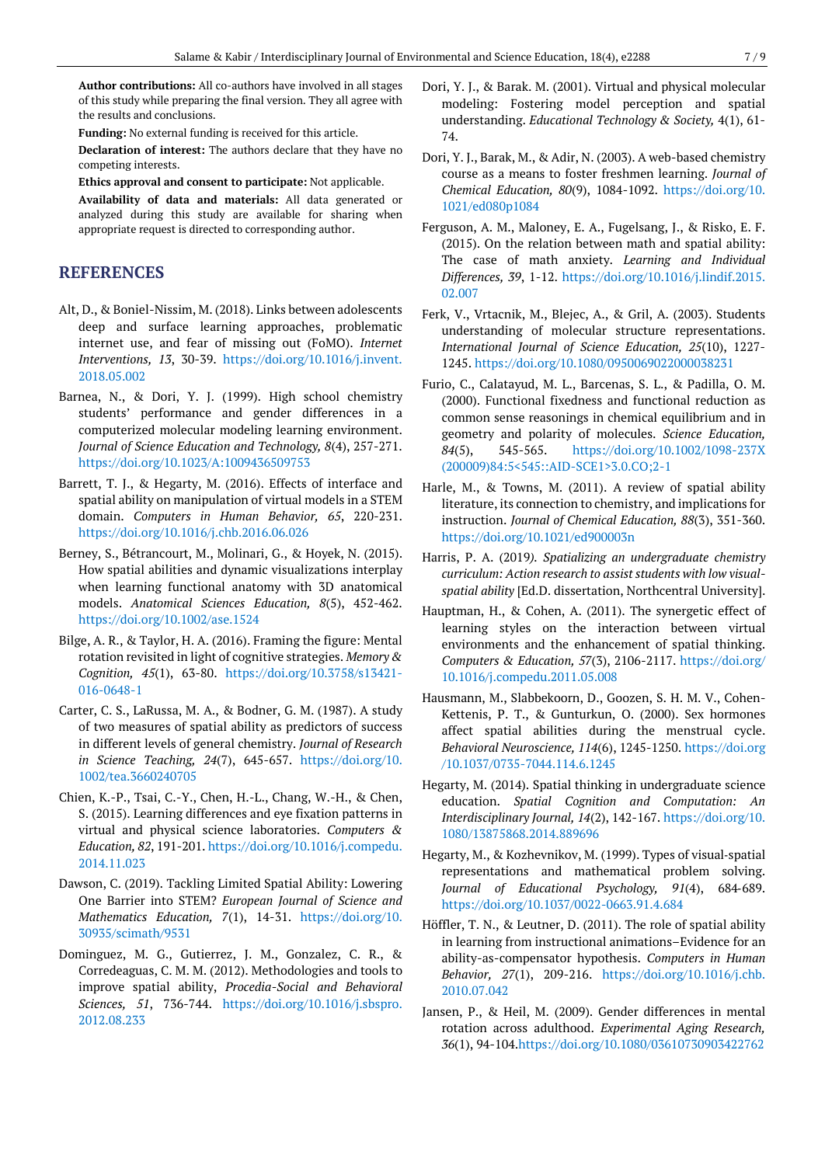**Author contributions:** All co-authors have involved in all stages of this study while preparing the final version. They all agree with the results and conclusions.

**Funding:** No external funding is received for this article.

**Declaration of interest:** The authors declare that they have no competing interests.

**Ethics approval and consent to participate:** Not applicable.

**Availability of data and materials:** All data generated or analyzed during this study are available for sharing when appropriate request is directed to corresponding author.

## **REFERENCES**

- Alt, D., & Boniel-Nissim, M. (2018). Links between adolescents deep and surface learning approaches, problematic internet use, and fear of missing out (FoMO). *Internet Interventions, 13*, 30-39. [https://doi.org/10.1016/j.invent.](https://doi.org/10.1016/j.invent.2018.05.002) [2018.05.002](https://doi.org/10.1016/j.invent.2018.05.002)
- Barnea, N., & Dori, Y. J. (1999). High school chemistry students' performance and gender differences in a computerized molecular modeling learning environment. *Journal of Science Education and Technology, 8*(4), 257-271. <https://doi.org/10.1023/A:1009436509753>
- Barrett, T. J., & Hegarty, M. (2016). Effects of interface and spatial ability on manipulation of virtual models in a STEM domain. *Computers in Human Behavior, 65*, 220-231. <https://doi.org/10.1016/j.chb.2016.06.026>
- Berney, S., Bétrancourt, M., Molinari, G., & Hoyek, N. (2015). How spatial abilities and dynamic visualizations interplay when learning functional anatomy with 3D anatomical models. *Anatomical Sciences Education, 8*(5), 452-462. <https://doi.org/10.1002/ase.1524>
- Bilge, A. R., & Taylor, H. A. (2016). Framing the figure: Mental rotation revisited in light of cognitive strategies. *Memory & Cognition, 45*(1), 63-80. [https://doi.org/10.3758/s13421-](https://doi.org/10.3758/s13421-016-0648-1) [016-0648-1](https://doi.org/10.3758/s13421-016-0648-1)
- Carter, C. S., LaRussa, M. A., & Bodner, G. M. (1987). A study of two measures of spatial ability as predictors of success in different levels of general chemistry. *Journal of Research in Science Teaching, 24*(7), 645-657. [https://doi.org/10.](https://doi.org/10.1002/tea.3660240705) [1002/tea.3660240705](https://doi.org/10.1002/tea.3660240705)
- Chien, K.-P., Tsai, C.-Y., Chen, H.-L., Chang, W.-H., & Chen, S. (2015). Learning differences and eye fixation patterns in virtual and physical science laboratories. *Computers & Education, 82*, 191-201. [https://doi.org/10.1016/j.compedu.](https://doi.org/10.1016/j.compedu.2014.11.023) [2014.11.023](https://doi.org/10.1016/j.compedu.2014.11.023)
- Dawson, C. (2019). Tackling Limited Spatial Ability: Lowering One Barrier into STEM? *European Journal of Science and Mathematics Education, 7*(1), 14-31. [https://doi.org/10.](https://doi.org/10.30935/scimath/9531) [30935/scimath/9531](https://doi.org/10.30935/scimath/9531)
- Dominguez, M. G., Gutierrez, J. M., Gonzalez, C. R., & Corredeaguas, C. M. M. (2012). Methodologies and tools to improve spatial ability, *Procedia-Social and Behavioral Sciences, 51*, 736-744. [https://doi.org/10.1016/j.sbspro.](https://doi.org/10.1016/j.sbspro.2012.08.233) [2012.08.233](https://doi.org/10.1016/j.sbspro.2012.08.233)
- Dori, Y. J., & Barak. M. (2001). Virtual and physical molecular modeling: Fostering model perception and spatial understanding. *Educational Technology & Society,* 4(1), 61- 74.
- Dori, Y. J., Barak, M., & Adir, N. (2003). A web-based chemistry course as a means to foster freshmen learning. *Journal of Chemical Education, 80*(9), 1084-1092. [https://doi.org/10.](https://doi.org/10.1021/ed080p1084) [1021/ed080p1084](https://doi.org/10.1021/ed080p1084)
- Ferguson, A. M., Maloney, E. A., Fugelsang, J., & Risko, E. F. (2015). On the relation between math and spatial ability: The case of math anxiety. *Learning and Individual Differences, 39*, 1-12. [https://doi.org/10.1016/j.lindif.2015.](https://doi.org/10.1016/j.lindif.2015.02.007) [02.007](https://doi.org/10.1016/j.lindif.2015.02.007)
- Ferk, V., Vrtacnik, M., Blejec, A., & Gril, A. (2003). Students understanding of molecular structure representations. *International Journal of Science Education, 25*(10), 1227- 1245. <https://doi.org/10.1080/0950069022000038231>
- Furio, C., Calatayud, M. L., Barcenas, S. L., & Padilla, O. M. (2000). Functional fixedness and functional reduction as common sense reasonings in chemical equilibrium and in geometry and polarity of molecules. *Science Education, 84*(5), 545-565. [https://doi.org/10.1002/1098-237X](https://doi.org/10.1002/1098-237X(200009)84:5%3c545::AID-SCE1%3e3.0.CO;2-1) [\(200009\)84:5<545::AID-SCE1>3.0.CO;2-1](https://doi.org/10.1002/1098-237X(200009)84:5%3c545::AID-SCE1%3e3.0.CO;2-1)
- Harle, M., & Towns, M. (2011). A review of spatial ability literature, its connection to chemistry, and implications for instruction. *Journal of Chemical Education, 88*(3), 351-360. <https://doi.org/10.1021/ed900003n>
- Harris, P. A. (2019*). Spatializing an undergraduate chemistry curriculum: Action research to assist students with low visualspatial ability* [Ed.D. dissertation, Northcentral University].
- Hauptman, H., & Cohen, A. (2011). The synergetic effect of learning styles on the interaction between virtual environments and the enhancement of spatial thinking. *Computers & Education, 57*(3), 2106-2117. [https://doi.org/](https://doi.org/10.1016/j.compedu.2011.05.008) [10.1016/j.compedu.2011.05.008](https://doi.org/10.1016/j.compedu.2011.05.008)
- Hausmann, M., Slabbekoorn, D., Goozen, S. H. M. V., Cohen-Kettenis, P. T., & Gunturkun, O. (2000). Sex hormones affect spatial abilities during the menstrual cycle. *Behavioral Neuroscience, 114*(6), 1245-1250. [https://doi.org](https://doi.org/10.1037/0735-7044.114.6.1245) [/10.1037/0735-7044.114.6.1245](https://doi.org/10.1037/0735-7044.114.6.1245)
- Hegarty, M. (2014). Spatial thinking in undergraduate science education. *Spatial Cognition and Computation: An Interdisciplinary Journal, 14*(2), 142-167. [https://doi.org/10.](https://doi.org/10.1080/13875868.2014.889696) [1080/13875868.2014.889696](https://doi.org/10.1080/13875868.2014.889696)
- Hegarty, M., & Kozhevnikov, M. (1999). Types of visual‐spatial representations and mathematical problem solving. *Journal of Educational Psychology, 91*(4), 684‐689. <https://doi.org/10.1037/0022-0663.91.4.684>
- Höffler, T. N., & Leutner, D. (2011). The role of spatial ability in learning from instructional animations–Evidence for an ability-as-compensator hypothesis. *Computers in Human Behavior, 27*(1), 209-216. [https://doi.org/10.1016/j.chb.](https://doi.org/10.1016/j.chb.2010.07.042) [2010.07.042](https://doi.org/10.1016/j.chb.2010.07.042)
- Jansen, P., & Heil, M. (2009). Gender differences in mental rotation across adulthood. *Experimental Aging Research, 36*(1), 94-104[.https://doi.org/10.1080/03610730903422762](https://doi.org/10.1080/03610730903422762)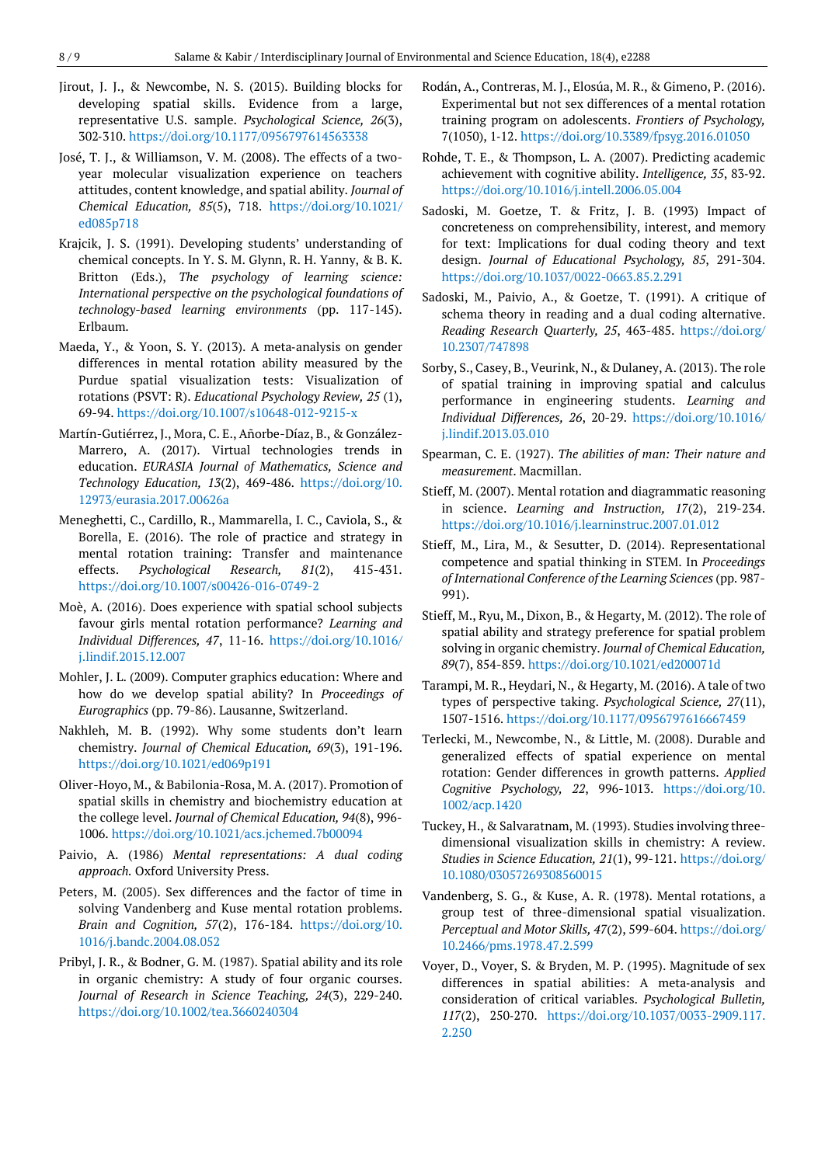- Jirout, J. J., & Newcombe, N. S. (2015). Building blocks for developing spatial skills. Evidence from a large, representative U.S. sample. *Psychological Science, 26*(3), 302‐310. <https://doi.org/10.1177/0956797614563338>
- José, T. J., & Williamson, V. M. (2008). The effects of a twoyear molecular visualization experience on teachers attitudes, content knowledge, and spatial ability. *Journal of Chemical Education, 85*(5), 718. [https://doi.org/10.1021/](https://doi.org/10.1021/ed085p718) [ed085p718](https://doi.org/10.1021/ed085p718)
- Krajcik, J. S. (1991). Developing students' understanding of chemical concepts. In Y. S. M. Glynn, R. H. Yanny, & B. K. Britton (Eds.), *The psychology of learning science: International perspective on the psychological foundations of technology-based learning environments* (pp. 117-145). Erlbaum.
- Maeda, Y., & Yoon, S. Y. (2013). A meta‐analysis on gender differences in mental rotation ability measured by the Purdue spatial visualization tests: Visualization of rotations (PSVT: R). *Educational Psychology Review, 25* (1), 69-94. <https://doi.org/10.1007/s10648-012-9215-x>
- Martín-Gutiérrez, J., Mora, C. E., Añorbe-Díaz, B., & González-Marrero, A. (2017). Virtual technologies trends in education. *EURASIA Journal of Mathematics, Science and Technology Education, 13*(2), 469-486. [https://doi.org/10.](https://doi.org/10.12973/eurasia.2017.00626a) [12973/eurasia.2017.00626a](https://doi.org/10.12973/eurasia.2017.00626a)
- Meneghetti, C., Cardillo, R., Mammarella, I. C., Caviola, S., & Borella, E. (2016). The role of practice and strategy in mental rotation training: Transfer and maintenance effects. *Psychological Research, 81*(2), 415-431. <https://doi.org/10.1007/s00426-016-0749-2>
- Moè, A. (2016). Does experience with spatial school subjects favour girls mental rotation performance? *Learning and Individual Differences, 47*, 11-16. [https://doi.org/10.1016/](https://doi.org/10.1016/j.lindif.2015.12.007) [j.lindif.2015.12.007](https://doi.org/10.1016/j.lindif.2015.12.007)
- Mohler, J. L. (2009). Computer graphics education: Where and how do we develop spatial ability? In *Proceedings of Eurographics* (pp. 79-86). Lausanne, Switzerland.
- Nakhleh, M. B. (1992). Why some students don't learn chemistry. *Journal of Chemical Education, 69*(3), 191-196. <https://doi.org/10.1021/ed069p191>
- Oliver-Hoyo, M., & Babilonia-Rosa, M. A. (2017). Promotion of spatial skills in chemistry and biochemistry education at the college level. *Journal of Chemical Education, 94*(8), 996- 1006. <https://doi.org/10.1021/acs.jchemed.7b00094>
- Paivio, A. (1986) *Mental representations: A dual coding approach.* Oxford University Press.
- Peters, M. (2005). Sex differences and the factor of time in solving Vandenberg and Kuse mental rotation problems. *Brain and Cognition, 57*(2), 176-184. [https://doi.org/10.](https://doi.org/10.1016/j.bandc.2004.08.052) [1016/j.bandc.2004.08.052](https://doi.org/10.1016/j.bandc.2004.08.052)
- Pribyl, J. R., & Bodner, G. M. (1987). Spatial ability and its role in organic chemistry: A study of four organic courses. *Journal of Research in Science Teaching, 24*(3), 229-240. <https://doi.org/10.1002/tea.3660240304>
- Rodán, A., Contreras, M. J., Elosúa, M. R., & Gimeno, P. (2016). Experimental but not sex differences of a mental rotation training program on adolescents. *Frontiers of Psychology,* 7(1050), 1‐12. <https://doi.org/10.3389/fpsyg.2016.01050>
- Rohde, T. E., & Thompson, L. A. (2007). Predicting academic achievement with cognitive ability. *Intelligence, 35*, 83‐92. <https://doi.org/10.1016/j.intell.2006.05.004>
- Sadoski, M. Goetze, T. & Fritz, J. B. (1993) Impact of concreteness on comprehensibility, interest, and memory for text: Implications for dual coding theory and text design. *Journal of Educational Psychology, 85*, 291-304. <https://doi.org/10.1037/0022-0663.85.2.291>
- Sadoski, M., Paivio, A., & Goetze, T. (1991). A critique of schema theory in reading and a dual coding alternative. *Reading Research Quarterly, 25*, 463-485. [https://doi.org/](https://doi.org/10.2307/747898) [10.2307/747898](https://doi.org/10.2307/747898)
- Sorby, S., Casey, B., Veurink, N., & Dulaney, A. (2013). The role of spatial training in improving spatial and calculus performance in engineering students. *Learning and Individual Differences, 26*, 20-29. [https://doi.org/10.1016/](https://doi.org/10.1016/j.lindif.2013.03.010) [j.lindif.2013.03.010](https://doi.org/10.1016/j.lindif.2013.03.010)
- Spearman, C. E. (1927). *The abilities of man: Their nature and measurement*. Macmillan.
- Stieff, M. (2007). Mental rotation and diagrammatic reasoning in science. *Learning and Instruction, 17*(2), 219-234. <https://doi.org/10.1016/j.learninstruc.2007.01.012>
- Stieff, M., Lira, M., & Sesutter, D. (2014). Representational competence and spatial thinking in STEM. In *Proceedings of International Conference of the Learning Sciences* (pp. 987- 991).
- Stieff, M., Ryu, M., Dixon, B., & Hegarty, M. (2012). The role of spatial ability and strategy preference for spatial problem solving in organic chemistry. *Journal of Chemical Education, 89*(7), 854-859. <https://doi.org/10.1021/ed200071d>
- Tarampi, M. R., Heydari, N., & Hegarty, M. (2016). A tale of two types of perspective taking. *Psychological Science, 27*(11), 1507-1516. <https://doi.org/10.1177/0956797616667459>
- Terlecki, M., Newcombe, N., & Little, M. (2008). Durable and generalized effects of spatial experience on mental rotation: Gender differences in growth patterns. *Applied Cognitive Psychology, 22*, 996-1013. [https://doi.org/10.](https://doi.org/10.1002/acp.1420) [1002/acp.1420](https://doi.org/10.1002/acp.1420)
- Tuckey, H., & Salvaratnam, M. (1993). Studies involving threedimensional visualization skills in chemistry: A review. *Studies in Science Education, 21*(1), 99-121. [https://doi.org/](https://doi.org/10.1080/03057269308560015) [10.1080/03057269308560015](https://doi.org/10.1080/03057269308560015)
- Vandenberg, S. G., & Kuse, A. R. (1978). Mental rotations, a group test of three-dimensional spatial visualization. *Perceptual and Motor Skills, 47*(2), 599-604. [https://doi.org/](https://doi.org/10.2466/pms.1978.47.2.599) [10.2466/pms.1978.47.2.599](https://doi.org/10.2466/pms.1978.47.2.599)
- Voyer, D., Voyer, S. & Bryden, M. P. (1995). Magnitude of sex differences in spatial abilities: A meta‐analysis and consideration of critical variables. *Psychological Bulletin, 117*(2), 250‐270. [https://doi.org/10.1037/0033-2909.117.](https://doi.org/10.1037/0033-2909.117.2.250) [2.250](https://doi.org/10.1037/0033-2909.117.2.250)